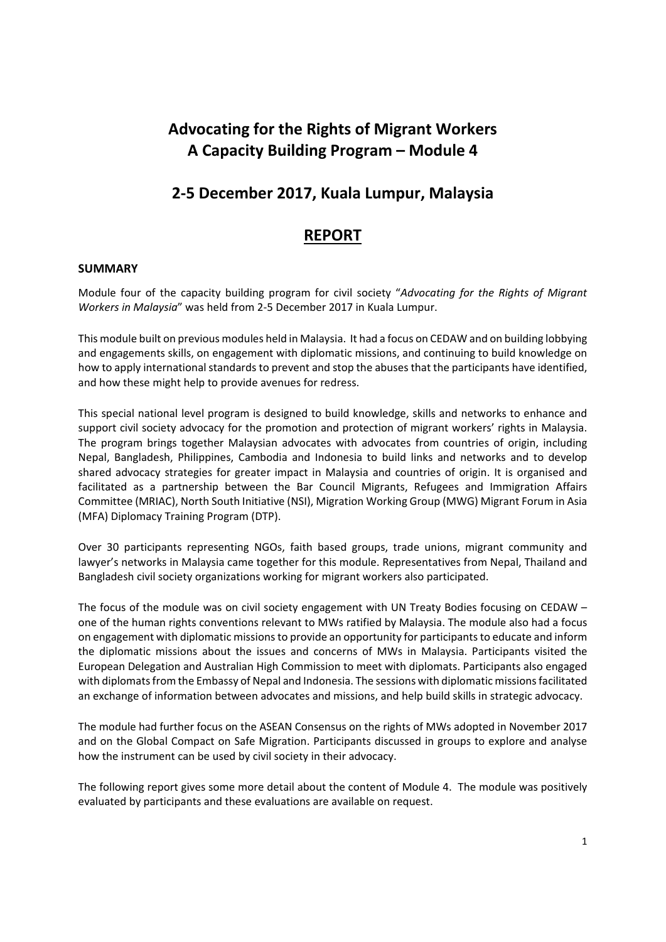# **Advocating for the Rights of Migrant Workers A Capacity Building Program – Module 4**

# **2‐5 December 2017, Kuala Lumpur, Malaysia**

# **REPORT**

### **SUMMARY**

Module four of the capacity building program for civil society "*Advocating for the Rights of Migrant Workers in Malaysia*" was held from 2‐5 December 2017 in Kuala Lumpur.

This module built on previous modules held in Malaysia. It had a focus on CEDAW and on building lobbying and engagements skills, on engagement with diplomatic missions, and continuing to build knowledge on how to apply international standards to prevent and stop the abuses that the participants have identified, and how these might help to provide avenues for redress.

This special national level program is designed to build knowledge, skills and networks to enhance and support civil society advocacy for the promotion and protection of migrant workers' rights in Malaysia. The program brings together Malaysian advocates with advocates from countries of origin, including Nepal, Bangladesh, Philippines, Cambodia and Indonesia to build links and networks and to develop shared advocacy strategies for greater impact in Malaysia and countries of origin. It is organised and facilitated as a partnership between the Bar Council Migrants, Refugees and Immigration Affairs Committee (MRIAC), North South Initiative (NSI), Migration Working Group (MWG) Migrant Forum in Asia (MFA) Diplomacy Training Program (DTP).

Over 30 participants representing NGOs, faith based groups, trade unions, migrant community and lawyer's networks in Malaysia came together for this module. Representatives from Nepal, Thailand and Bangladesh civil society organizations working for migrant workers also participated.

The focus of the module was on civil society engagement with UN Treaty Bodies focusing on CEDAW – one of the human rights conventions relevant to MWs ratified by Malaysia. The module also had a focus on engagement with diplomatic missionsto provide an opportunity for participantsto educate and inform the diplomatic missions about the issues and concerns of MWs in Malaysia. Participants visited the European Delegation and Australian High Commission to meet with diplomats. Participants also engaged with diplomats from the Embassy of Nepal and Indonesia. The sessions with diplomatic missions facilitated an exchange of information between advocates and missions, and help build skills in strategic advocacy.

The module had further focus on the ASEAN Consensus on the rights of MWs adopted in November 2017 and on the Global Compact on Safe Migration. Participants discussed in groups to explore and analyse how the instrument can be used by civil society in their advocacy.

The following report gives some more detail about the content of Module 4. The module was positively evaluated by participants and these evaluations are available on request.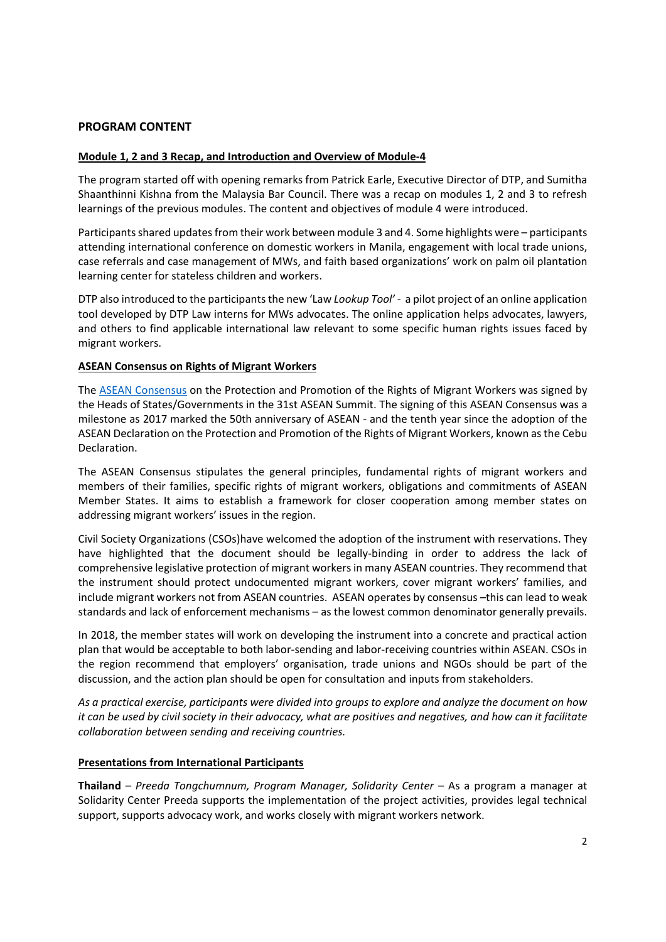### **PROGRAM CONTENT**

#### **Module 1, 2 and 3 Recap, and Introduction and Overview of Module‐4**

The program started off with opening remarks from Patrick Earle, Executive Director of DTP, and Sumitha Shaanthinni Kishna from the Malaysia Bar Council. There was a recap on modules 1, 2 and 3 to refresh learnings of the previous modules. The content and objectives of module 4 were introduced.

Participants shared updates from their work between module 3 and 4. Some highlights were – participants attending international conference on domestic workers in Manila, engagement with local trade unions, case referrals and case management of MWs, and faith based organizations' work on palm oil plantation learning center for stateless children and workers.

DTP also introduced to the participants the new 'Law *Lookup Tool'* - a pilot project of an online application tool developed by DTP Law interns for MWs advocates. The online application helps advocates, lawyers, and others to find applicable international law relevant to some specific human rights issues faced by migrant workers.

#### **ASEAN Consensus on Rights of Migrant Workers**

The ASEAN Consensus on the Protection and Promotion of the Rights of Migrant Workers was signed by the Heads of States/Governments in the 31st ASEAN Summit. The signing of this ASEAN Consensus was a milestone as 2017 marked the 50th anniversary of ASEAN ‐ and the tenth year since the adoption of the ASEAN Declaration on the Protection and Promotion of the Rights of Migrant Workers, known asthe Cebu Declaration.

The ASEAN Consensus stipulates the general principles, fundamental rights of migrant workers and members of their families, specific rights of migrant workers, obligations and commitments of ASEAN Member States. It aims to establish a framework for closer cooperation among member states on addressing migrant workers' issues in the region.

Civil Society Organizations (CSOs)have welcomed the adoption of the instrument with reservations. They have highlighted that the document should be legally-binding in order to address the lack of comprehensive legislative protection of migrant workersin many ASEAN countries. They recommend that the instrument should protect undocumented migrant workers, cover migrant workers' families, and include migrant workers not from ASEAN countries. ASEAN operates by consensus –this can lead to weak standards and lack of enforcement mechanisms – as the lowest common denominator generally prevails.

In 2018, the member states will work on developing the instrument into a concrete and practical action plan that would be acceptable to both labor‐sending and labor‐receiving countries within ASEAN. CSOs in the region recommend that employers' organisation, trade unions and NGOs should be part of the discussion, and the action plan should be open for consultation and inputs from stakeholders.

*As a practical exercise, participants were divided into groups to explore and analyze the document on how* it can be used by civil society in their advocacy, what are positives and negatives, and how can it facilitate *collaboration between sending and receiving countries.* 

#### **Presentations from International Participants**

**Thailand** *– Preeda Tongchumnum, Program Manager, Solidarity Center –* As a program a manager at Solidarity Center Preeda supports the implementation of the project activities, provides legal technical support, supports advocacy work, and works closely with migrant workers network.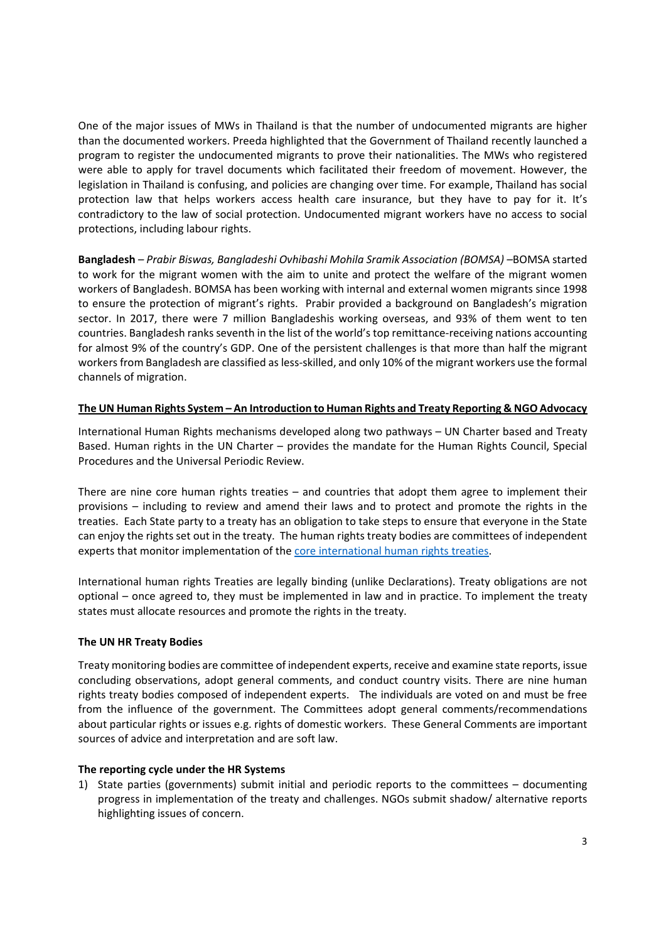One of the major issues of MWs in Thailand is that the number of undocumented migrants are higher than the documented workers. Preeda highlighted that the Government of Thailand recently launched a program to register the undocumented migrants to prove their nationalities. The MWs who registered were able to apply for travel documents which facilitated their freedom of movement. However, the legislation in Thailand is confusing, and policies are changing over time. For example, Thailand has social protection law that helps workers access health care insurance, but they have to pay for it. It's contradictory to the law of social protection. Undocumented migrant workers have no access to social protections, including labour rights.

**Bangladesh** *– Prabir Biswas, Bangladeshi Ovhibashi Mohila Sramik Association (BOMSA) –*BOMSA started to work for the migrant women with the aim to unite and protect the welfare of the migrant women workers of Bangladesh. BOMSA has been working with internal and external women migrants since 1998 to ensure the protection of migrant's rights. Prabir provided a background on Bangladesh's migration sector. In 2017, there were 7 million Bangladeshis working overseas, and 93% of them went to ten countries. Bangladesh ranks seventh in the list of the world's top remittance‐receiving nations accounting for almost 9% of the country's GDP. One of the persistent challenges is that more than half the migrant workers from Bangladesh are classified as less-skilled, and only 10% of the migrant workers use the formal channels of migration.

### **The UN Human Rights System – An Introduction to Human Rights and Treaty Reporting & NGO Advocacy**

International Human Rights mechanisms developed along two pathways – UN Charter based and Treaty Based. Human rights in the UN Charter – provides the mandate for the Human Rights Council, Special Procedures and the Universal Periodic Review.

There are nine core human rights treaties – and countries that adopt them agree to implement their provisions – including to review and amend their laws and to protect and promote the rights in the treaties. Each State party to a treaty has an obligation to take steps to ensure that everyone in the State can enjoy the rights set out in the treaty. The human rights treaty bodies are committees of independent experts that monitor implementation of the core international human rights treaties.

International human rights Treaties are legally binding (unlike Declarations). Treaty obligations are not optional – once agreed to, they must be implemented in law and in practice. To implement the treaty states must allocate resources and promote the rights in the treaty.

### **The UN HR Treaty Bodies**

Treaty monitoring bodies are committee of independent experts, receive and examine state reports, issue concluding observations, adopt general comments, and conduct country visits. There are nine human rights treaty bodies composed of independent experts. The individuals are voted on and must be free from the influence of the government. The Committees adopt general comments/recommendations about particular rights or issues e.g. rights of domestic workers. These General Comments are important sources of advice and interpretation and are soft law.

### **The reporting cycle under the HR Systems**

1) State parties (governments) submit initial and periodic reports to the committees – documenting progress in implementation of the treaty and challenges. NGOs submit shadow/ alternative reports highlighting issues of concern.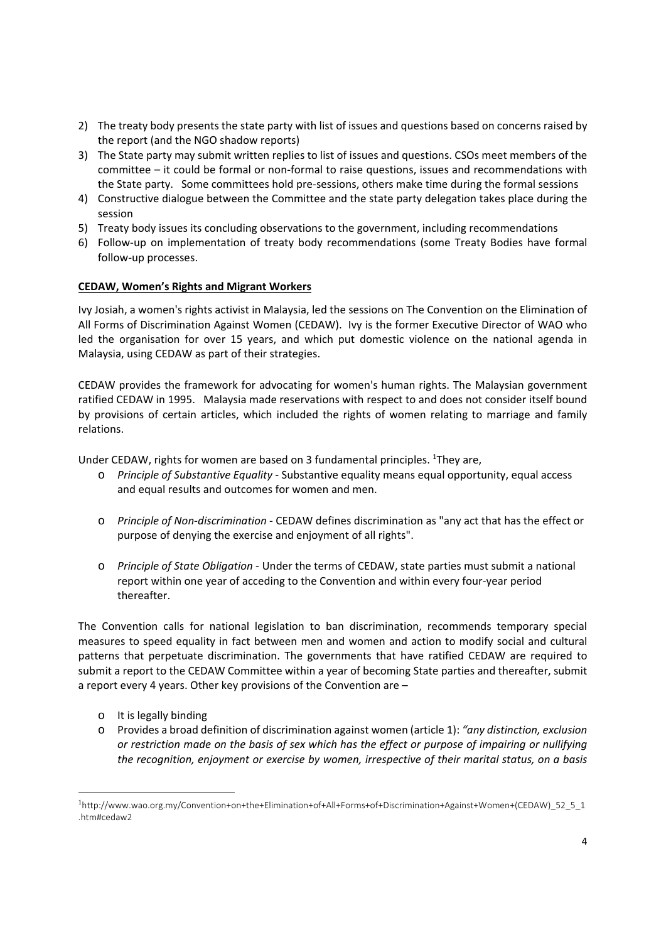- 2) The treaty body presents the state party with list of issues and questions based on concerns raised by the report (and the NGO shadow reports)
- 3) The State party may submit written replies to list of issues and questions. CSOs meet members of the committee – it could be formal or non‐formal to raise questions, issues and recommendations with the State party. Some committees hold pre-sessions, others make time during the formal sessions
- 4) Constructive dialogue between the Committee and the state party delegation takes place during the session
- 5) Treaty body issues its concluding observations to the government, including recommendations
- 6) Follow‐up on implementation of treaty body recommendations (some Treaty Bodies have formal follow‐up processes.

### **CEDAW, Women's Rights and Migrant Workers**

Ivy Josiah, a women's rights activist in Malaysia, led the sessions on The Convention on the Elimination of All Forms of Discrimination Against Women (CEDAW). Ivy is the former Executive Director of WAO who led the organisation for over 15 years, and which put domestic violence on the national agenda in Malaysia, using CEDAW as part of their strategies.

CEDAW provides the framework for advocating for women's human rights. The Malaysian government ratified CEDAW in 1995. Malaysia made reservations with respect to and does not consider itself bound by provisions of certain articles, which included the rights of women relating to marriage and family relations.

Under CEDAW, rights for women are based on 3 fundamental principles. <sup>1</sup>They are,

- o *Principle of Substantive Equality* ‐ Substantive equality means equal opportunity, equal access and equal results and outcomes for women and men.
- o *Principle of Non‐discrimination* ‐ CEDAW defines discrimination as "any act that has the effect or purpose of denying the exercise and enjoyment of all rights".
- o *Principle of State Obligation* ‐ Under the terms of CEDAW, state parties must submit a national report within one year of acceding to the Convention and within every four‐year period thereafter.

The Convention calls for national legislation to ban discrimination, recommends temporary special measures to speed equality in fact between men and women and action to modify social and cultural patterns that perpetuate discrimination. The governments that have ratified CEDAW are required to submit a report to the CEDAW Committee within a year of becoming State parties and thereafter, submit a report every 4 years. Other key provisions of the Convention are –

o It is legally binding

-

o Provides a broad definition of discrimination against women (article 1): *"any distinction, exclusion or restriction made on the basis of sex which has the effect or purpose of impairing or nullifying the recognition, enjoyment or exercise by women, irrespective of their marital status, on a basis*

<sup>1</sup> http://www.wao.org.my/Convention+on+the+Elimination+of+All+Forms+of+Discrimination+Against+Women+(CEDAW)\_52\_5\_1 .htm#cedaw2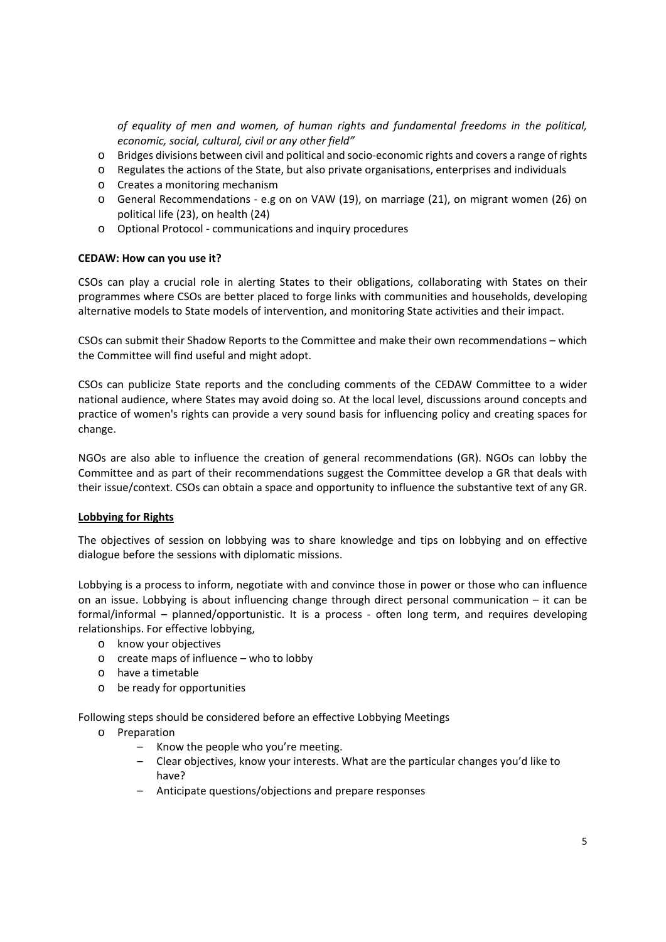*of equality of men and women, of human rights and fundamental freedoms in the political, economic, social, cultural, civil or any other field"*

- o Bridges divisions between civil and political and socio‐economic rights and covers a range of rights
- o Regulates the actions of the State, but also private organisations, enterprises and individuals
- o Creates a monitoring mechanism
- o General Recommendations ‐ e.g on on VAW (19), on marriage (21), on migrant women (26) on political life (23), on health (24)
- o Optional Protocol ‐ communications and inquiry procedures

#### **CEDAW: How can you use it?**

CSOs can play a crucial role in alerting States to their obligations, collaborating with States on their programmes where CSOs are better placed to forge links with communities and households, developing alternative models to State models of intervention, and monitoring State activities and their impact.

CSOs can submit their Shadow Reports to the Committee and make their own recommendations – which the Committee will find useful and might adopt.

CSOs can publicize State reports and the concluding comments of the CEDAW Committee to a wider national audience, where States may avoid doing so. At the local level, discussions around concepts and practice of women's rights can provide a very sound basis for influencing policy and creating spaces for change.

NGOs are also able to influence the creation of general recommendations (GR). NGOs can lobby the Committee and as part of their recommendations suggest the Committee develop a GR that deals with their issue/context. CSOs can obtain a space and opportunity to influence the substantive text of any GR.

### **Lobbying for Rights**

The objectives of session on lobbying was to share knowledge and tips on lobbying and on effective dialogue before the sessions with diplomatic missions.

Lobbying is a process to inform, negotiate with and convince those in power or those who can influence on an issue. Lobbying is about influencing change through direct personal communication – it can be formal/informal – planned/opportunistic. It is a process - often long term, and requires developing relationships. For effective lobbying,

- o know your objectives
- o create maps of influence who to lobby
- o have a timetable
- o be ready for opportunities

Following steps should be considered before an effective Lobbying Meetings

- o Preparation
	- Know the people who you're meeting.
	- Clear objectives, know your interests. What are the particular changes you'd like to have?
	- Anticipate questions/objections and prepare responses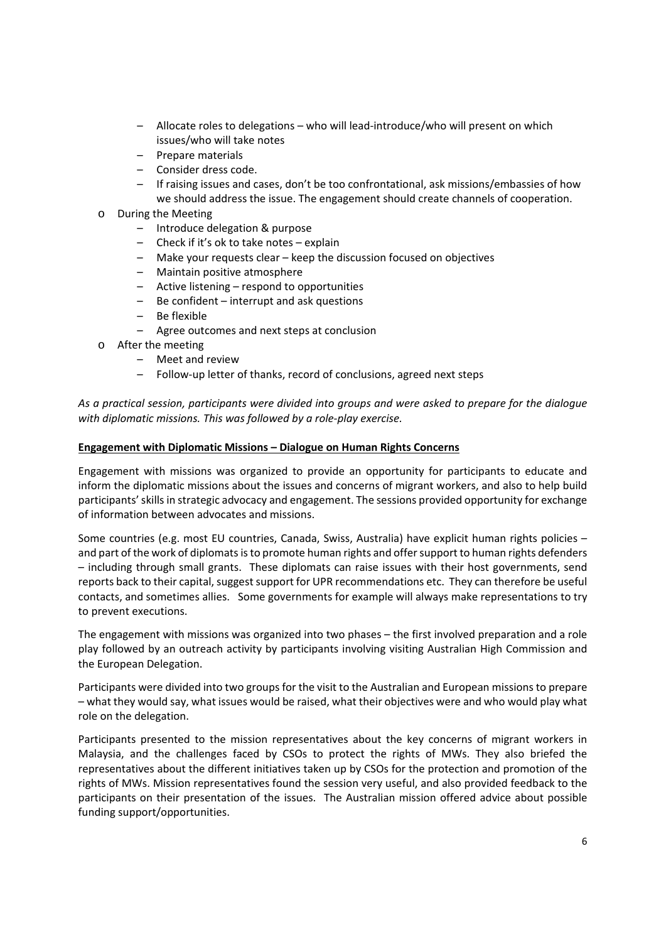- Allocate roles to delegations who will lead‐introduce/who will present on which issues/who will take notes
- Prepare materials
- Consider dress code.
- If raising issues and cases, don't be too confrontational, ask missions/embassies of how we should address the issue. The engagement should create channels of cooperation.
- o During the Meeting
	- Introduce delegation & purpose
	- Check if it's ok to take notes explain
	- Make your requests clear keep the discussion focused on objectives
	- Maintain positive atmosphere
	- Active listening respond to opportunities
	- Be confident interrupt and ask questions
	- Be flexible
	- Agree outcomes and next steps at conclusion
- o After the meeting
	- Meet and review
	- Follow‐up letter of thanks, record of conclusions, agreed next steps

*As a practical session, participants were divided into groups and were asked to prepare for the dialogue with diplomatic missions. This was followed by a role‐play exercise.* 

### **Engagement with Diplomatic Missions – Dialogue on Human Rights Concerns**

Engagement with missions was organized to provide an opportunity for participants to educate and inform the diplomatic missions about the issues and concerns of migrant workers, and also to help build participants' skills in strategic advocacy and engagement. The sessions provided opportunity for exchange of information between advocates and missions.

Some countries (e.g. most EU countries, Canada, Swiss, Australia) have explicit human rights policies – and part of the work of diplomats is to promote human rights and offer support to human rights defenders – including through small grants. These diplomats can raise issues with their host governments, send reports back to their capital, suggest support for UPR recommendations etc. They can therefore be useful contacts, and sometimes allies. Some governments for example will always make representations to try to prevent executions.

The engagement with missions was organized into two phases – the first involved preparation and a role play followed by an outreach activity by participants involving visiting Australian High Commission and the European Delegation.

Participants were divided into two groups for the visit to the Australian and European missions to prepare – what they would say, what issues would be raised, what their objectives were and who would play what role on the delegation.

Participants presented to the mission representatives about the key concerns of migrant workers in Malaysia, and the challenges faced by CSOs to protect the rights of MWs. They also briefed the representatives about the different initiatives taken up by CSOs for the protection and promotion of the rights of MWs. Mission representatives found the session very useful, and also provided feedback to the participants on their presentation of the issues. The Australian mission offered advice about possible funding support/opportunities.